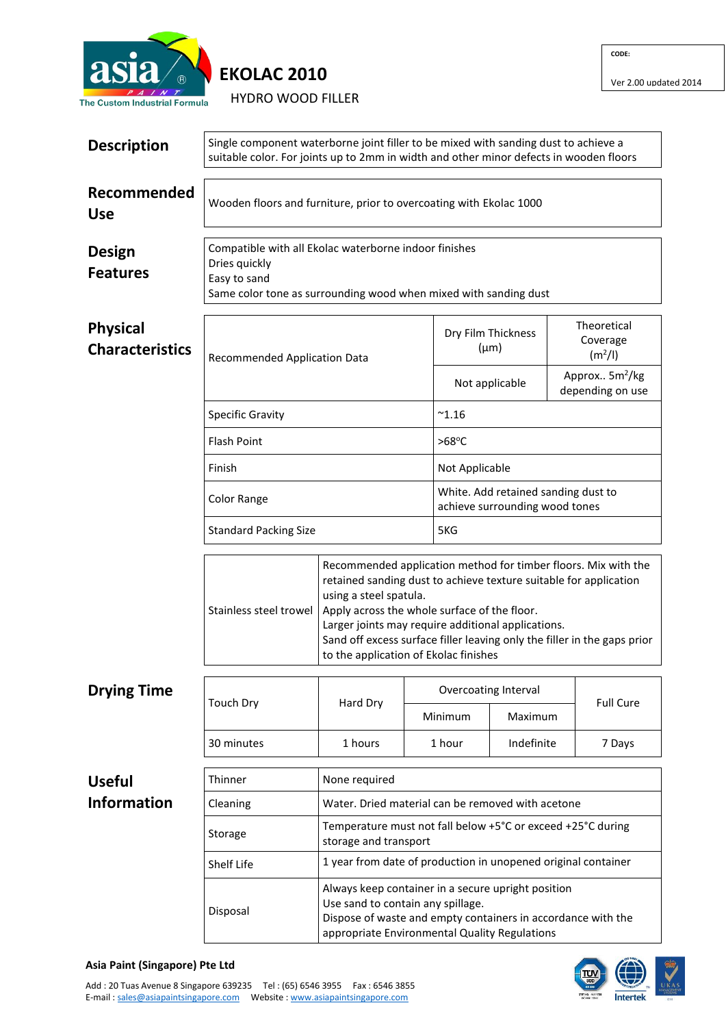

HYDRO WOOD FILLER

**CODE:**

| <b>Description</b>                        | Single component waterborne joint filler to be mixed with sanding dust to achieve a<br>suitable color. For joints up to 2mm in width and other minor defects in wooden floors |                                                                 |                                                             |                                                                                                                                                                                                                                                                                                                       |                                                                       |                                                |                  |  |  |
|-------------------------------------------|-------------------------------------------------------------------------------------------------------------------------------------------------------------------------------|-----------------------------------------------------------------|-------------------------------------------------------------|-----------------------------------------------------------------------------------------------------------------------------------------------------------------------------------------------------------------------------------------------------------------------------------------------------------------------|-----------------------------------------------------------------------|------------------------------------------------|------------------|--|--|
| Recommended<br><b>Use</b>                 | Wooden floors and furniture, prior to overcoating with Ekolac 1000                                                                                                            |                                                                 |                                                             |                                                                                                                                                                                                                                                                                                                       |                                                                       |                                                |                  |  |  |
| Design<br><b>Features</b>                 | Compatible with all Ekolac waterborne indoor finishes<br>Dries quickly<br>Easy to sand<br>Same color tone as surrounding wood when mixed with sanding dust                    |                                                                 |                                                             |                                                                                                                                                                                                                                                                                                                       |                                                                       |                                                |                  |  |  |
| <b>Physical</b><br><b>Characteristics</b> | <b>Recommended Application Data</b>                                                                                                                                           |                                                                 |                                                             | Dry Film Thickness<br>$(\mu m)$                                                                                                                                                                                                                                                                                       |                                                                       | Theoretical<br>Coverage<br>(m <sup>2</sup> /I) |                  |  |  |
|                                           |                                                                                                                                                                               |                                                                 |                                                             | Not applicable                                                                                                                                                                                                                                                                                                        |                                                                       | Approx 5m <sup>2</sup> /kg<br>depending on use |                  |  |  |
|                                           | <b>Specific Gravity</b>                                                                                                                                                       |                                                                 |                                                             | $^{\sim}$ 1.16                                                                                                                                                                                                                                                                                                        |                                                                       |                                                |                  |  |  |
|                                           | <b>Flash Point</b>                                                                                                                                                            |                                                                 |                                                             | $>68^{\circ}$ C                                                                                                                                                                                                                                                                                                       |                                                                       |                                                |                  |  |  |
|                                           | Finish                                                                                                                                                                        |                                                                 |                                                             |                                                                                                                                                                                                                                                                                                                       | Not Applicable                                                        |                                                |                  |  |  |
|                                           | Color Range                                                                                                                                                                   |                                                                 |                                                             |                                                                                                                                                                                                                                                                                                                       | White. Add retained sanding dust to<br>achieve surrounding wood tones |                                                |                  |  |  |
|                                           | <b>Standard Packing Size</b>                                                                                                                                                  |                                                                 |                                                             |                                                                                                                                                                                                                                                                                                                       | 5KG                                                                   |                                                |                  |  |  |
|                                           | Stainless steel trowel                                                                                                                                                        | using a steel spatula.<br>to the application of Ekolac finishes |                                                             | Recommended application method for timber floors. Mix with the<br>retained sanding dust to achieve texture suitable for application<br>Apply across the whole surface of the floor.<br>Larger joints may require additional applications.<br>Sand off excess surface filler leaving only the filler in the gaps prior |                                                                       |                                                |                  |  |  |
| <b>Drying Time</b>                        |                                                                                                                                                                               |                                                                 |                                                             | Overcoating Interval                                                                                                                                                                                                                                                                                                  |                                                                       |                                                | <b>Full Cure</b> |  |  |
|                                           | <b>Touch Dry</b>                                                                                                                                                              | Hard Dry                                                        |                                                             | Minimum<br>Maximum                                                                                                                                                                                                                                                                                                    |                                                                       |                                                |                  |  |  |
|                                           | 30 minutes                                                                                                                                                                    | 1 hours                                                         |                                                             | 1 hour                                                                                                                                                                                                                                                                                                                | Indefinite                                                            |                                                | 7 Days           |  |  |
| <b>Useful</b>                             | Thinner                                                                                                                                                                       | None required                                                   |                                                             |                                                                                                                                                                                                                                                                                                                       |                                                                       |                                                |                  |  |  |
| <b>Information</b>                        | Cleaning                                                                                                                                                                      |                                                                 |                                                             | Water. Dried material can be removed with acetone                                                                                                                                                                                                                                                                     |                                                                       |                                                |                  |  |  |
|                                           | Storage                                                                                                                                                                       | storage and transport                                           | Temperature must not fall below +5°C or exceed +25°C during |                                                                                                                                                                                                                                                                                                                       |                                                                       |                                                |                  |  |  |
|                                           | Shelf Life                                                                                                                                                                    |                                                                 |                                                             | 1 year from date of production in unopened original container<br>Always keep container in a secure upright position<br>Dispose of waste and empty containers in accordance with the<br>appropriate Environmental Quality Regulations                                                                                  |                                                                       |                                                |                  |  |  |
|                                           | Disposal                                                                                                                                                                      | Use sand to contain any spillage.                               |                                                             |                                                                                                                                                                                                                                                                                                                       |                                                                       |                                                |                  |  |  |



## **Asia Paint (Singapore) Pte Ltd**